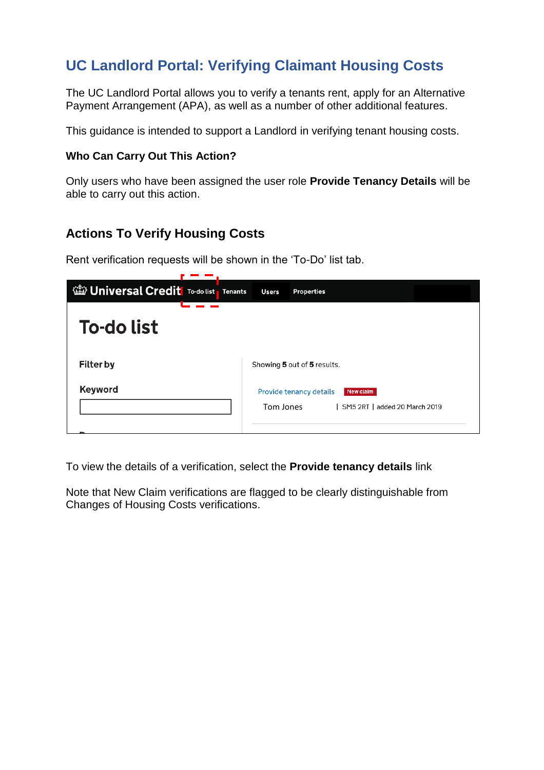## **UC Landlord Portal: Verifying Claimant Housing Costs**

The UC Landlord Portal allows you to verify a tenants rent, apply for an Alternative Payment Arrangement (APA), as well as a number of other additional features.

This guidance is intended to support a Landlord in verifying tenant housing costs.

## **Who Can Carry Out This Action?**

Only users who have been assigned the user role **Provide Tenancy Details** will be able to carry out this action.

## **Actions To Verify Housing Costs**

Rent verification requests will be shown in the 'To-Do' list tab.

and the control of

| <b>Will Universal Credit</b> To-do list Tenants |  | <b>Users</b> | <b>Properties</b>                                                     |
|-------------------------------------------------|--|--------------|-----------------------------------------------------------------------|
| <b>To-do list</b>                               |  |              |                                                                       |
| <b>Filter by</b>                                |  |              | Showing 5 out of 5 results.                                           |
| <b>Keyword</b>                                  |  | Tom Jones    | Provide tenancy details<br>New claim<br>SM5 2RT   added 20 March 2019 |

To view the details of a verification, select the **Provide tenancy details** link

Note that New Claim verifications are flagged to be clearly distinguishable from Changes of Housing Costs verifications.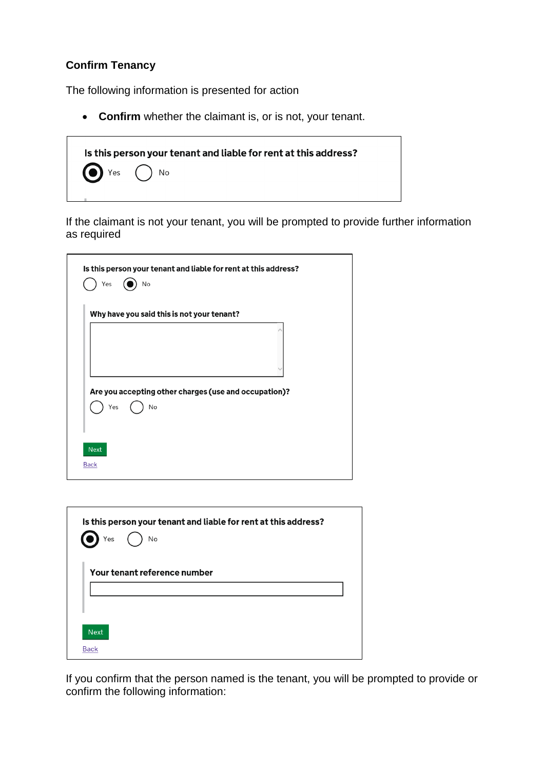## **Confirm Tenancy**

The following information is presented for action

**Confirm** whether the claimant is, or is not, your tenant.



If the claimant is not your tenant, you will be prompted to provide further information as required

|                     | Is this person your tenant and liable for rent at this address?<br>No<br>Yes |
|---------------------|------------------------------------------------------------------------------|
|                     | Why have you said this is not your tenant?                                   |
|                     |                                                                              |
|                     | Are you accepting other charges (use and occupation)?<br>Yes<br>No           |
| Next<br><b>Back</b> |                                                                              |

| Is this person your tenant and liable for rent at this address?<br>$\sum Y$ es (<br>$\epsilon$<br>No |
|------------------------------------------------------------------------------------------------------|
| Your tenant reference number                                                                         |
| <b>Next</b>                                                                                          |
| <b>Back</b>                                                                                          |

If you confirm that the person named is the tenant, you will be prompted to provide or confirm the following information: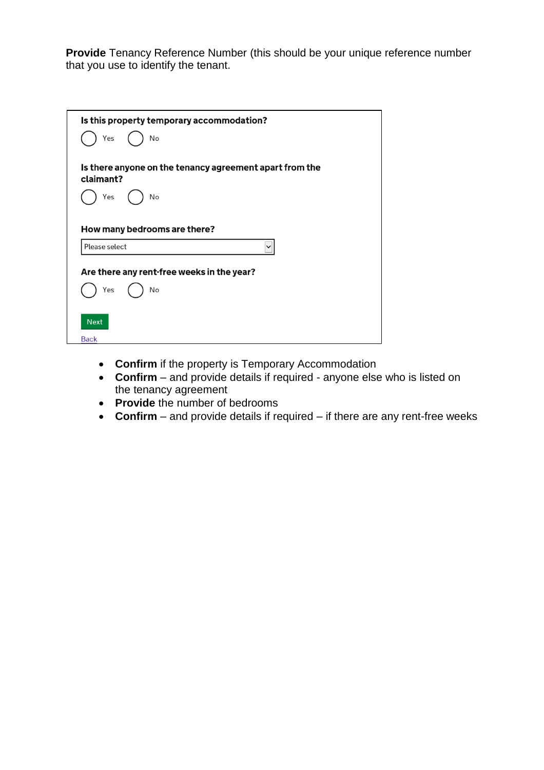**Provide** Tenancy Reference Number (this should be your unique reference number that you use to identify the tenant.

| Is this property temporary accommodation?<br>Yes<br>No               |
|----------------------------------------------------------------------|
| Is there anyone on the tenancy agreement apart from the<br>claimant? |
| No<br>Yes                                                            |
| How many bedrooms are there?                                         |
| Please select<br>$\checkmark$                                        |
| Are there any rent-free weeks in the year?                           |
| Yes<br>No                                                            |
| <b>Next</b><br><b>Back</b>                                           |

- **Confirm** if the property is Temporary Accommodation
- **Confirm**  and provide details if required anyone else who is listed on the tenancy agreement
- **Provide** the number of bedrooms
- **Confirm**  and provide details if required if there are any rent-free weeks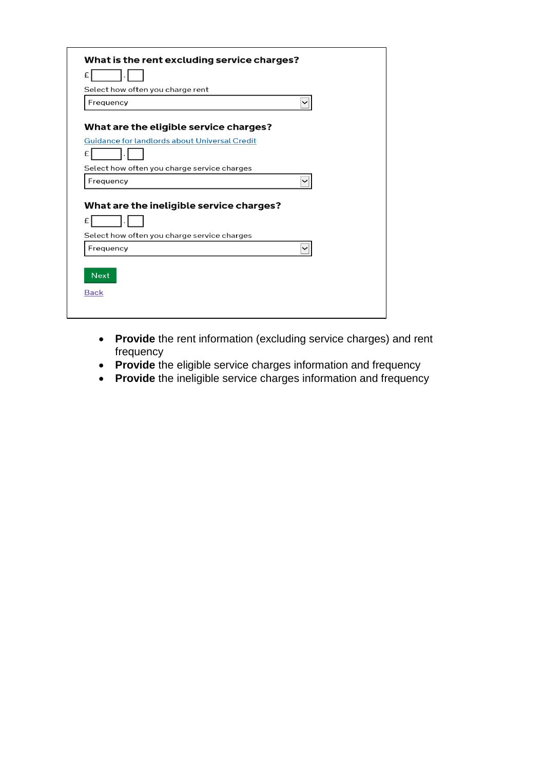| £<br>Select how often you charge rent<br>Frequency<br>$\checkmark$<br>What are the eligible service charges?<br><b>Guidance for landlords about Universal Credit</b><br>£<br>Select how often you charge service charges<br>Frequency<br>$\check{ }$<br>What are the ineligible service charges?<br>£ |
|-------------------------------------------------------------------------------------------------------------------------------------------------------------------------------------------------------------------------------------------------------------------------------------------------------|
|                                                                                                                                                                                                                                                                                                       |
|                                                                                                                                                                                                                                                                                                       |
|                                                                                                                                                                                                                                                                                                       |
|                                                                                                                                                                                                                                                                                                       |
|                                                                                                                                                                                                                                                                                                       |
|                                                                                                                                                                                                                                                                                                       |
|                                                                                                                                                                                                                                                                                                       |
|                                                                                                                                                                                                                                                                                                       |
|                                                                                                                                                                                                                                                                                                       |
| Select how often you charge service charges                                                                                                                                                                                                                                                           |
| Frequency<br>$\check{ }$                                                                                                                                                                                                                                                                              |
|                                                                                                                                                                                                                                                                                                       |
| <b>Next</b>                                                                                                                                                                                                                                                                                           |
|                                                                                                                                                                                                                                                                                                       |

- **Provide** the rent information (excluding service charges) and rent frequency
- **Provide** the eligible service charges information and frequency
- **Provide** the ineligible service charges information and frequency